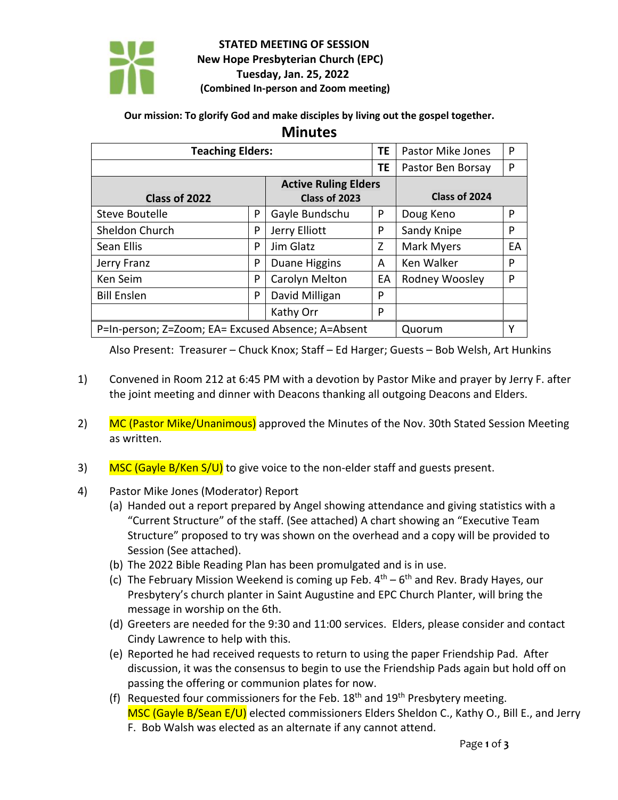

## **STATED MEETING OF SESSION New Hope Presbyterian Church (EPC) Tuesday, Jan. 25, 2022 (Combined In-person and Zoom meeting)**

## **Our mission: To glorify God and make disciples by living out the gospel together.**

## **Minutes**

| <b>Teaching Elders:</b>                            |   |                             | ΤE | <b>Pastor Mike Jones</b> | P  |
|----------------------------------------------------|---|-----------------------------|----|--------------------------|----|
|                                                    |   |                             | TE | Pastor Ben Borsay        | P  |
|                                                    |   | <b>Active Ruling Elders</b> |    |                          |    |
| Class of 2022                                      |   | Class of 2023               |    | Class of 2024            |    |
| Steve Boutelle                                     | P | Gayle Bundschu              | P  | Doug Keno                | P  |
| Sheldon Church                                     | P | Jerry Elliott               | P  | Sandy Knipe              | P  |
| Sean Ellis                                         | P | Jim Glatz                   | Z  | Mark Myers               | EA |
| Jerry Franz                                        | P | Duane Higgins               | A  | Ken Walker               | P  |
| Ken Seim                                           | P | Carolyn Melton              | EA | Rodney Woosley           | P  |
| <b>Bill Enslen</b>                                 | P | David Milligan              | P  |                          |    |
|                                                    |   | Kathy Orr                   | P  |                          |    |
| P=In-person; Z=Zoom; EA= Excused Absence; A=Absent |   |                             |    | Quorum                   | Υ  |

Also Present: Treasurer – Chuck Knox; Staff – Ed Harger; Guests – Bob Welsh, Art Hunkins

- 1) Convened in Room 212 at 6:45 PM with a devotion by Pastor Mike and prayer by Jerry F. after the joint meeting and dinner with Deacons thanking all outgoing Deacons and Elders.
- 2) MC (Pastor Mike/Unanimous) approved the Minutes of the Nov. 30th Stated Session Meeting as written.
- 3) MSC (Gayle B/Ken S/U) to give voice to the non-elder staff and guests present.
- 4) Pastor Mike Jones (Moderator) Report
	- (a) Handed out a report prepared by Angel showing attendance and giving statistics with a "Current Structure" of the staff. (See attached) A chart showing an "Executive Team Structure" proposed to try was shown on the overhead and a copy will be provided to Session (See attached).
	- (b) The 2022 Bible Reading Plan has been promulgated and is in use.
	- (c) The February Mission Weekend is coming up Feb.  $4<sup>th</sup> 6<sup>th</sup>$  and Rev. Brady Hayes, our Presbytery's church planter in Saint Augustine and EPC Church Planter, will bring the message in worship on the 6th.
	- (d) Greeters are needed for the 9:30 and 11:00 services. Elders, please consider and contact Cindy Lawrence to help with this.
	- (e) Reported he had received requests to return to using the paper Friendship Pad. After discussion, it was the consensus to begin to use the Friendship Pads again but hold off on passing the offering or communion plates for now.
	- (f) Requested four commissioners for the Feb.  $18<sup>th</sup>$  and  $19<sup>th</sup>$  Presbytery meeting. MSC (Gayle B/Sean E/U) elected commissioners Elders Sheldon C., Kathy O., Bill E., and Jerry F. Bob Walsh was elected as an alternate if any cannot attend.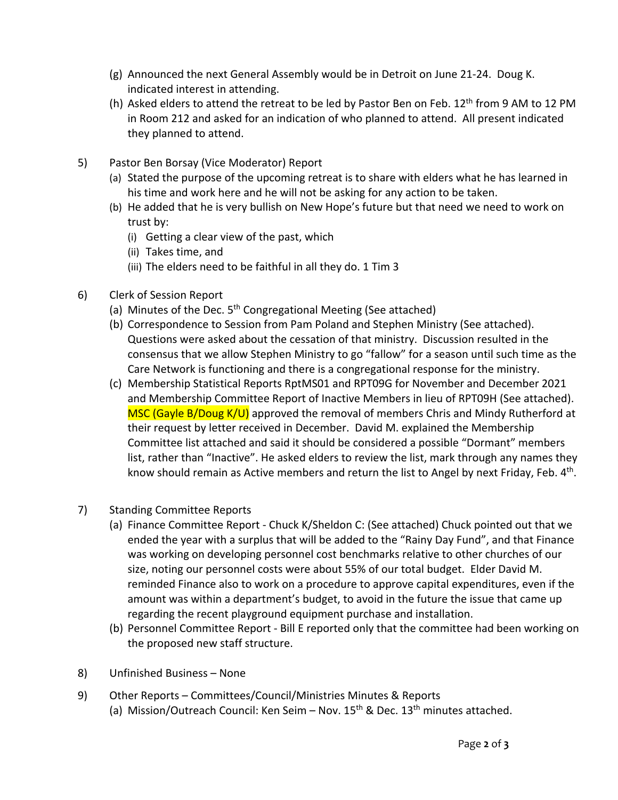- (g) Announced the next General Assembly would be in Detroit on June 21-24. Doug K. indicated interest in attending.
- (h) Asked elders to attend the retreat to be led by Pastor Ben on Feb.  $12<sup>th</sup>$  from 9 AM to 12 PM in Room 212 and asked for an indication of who planned to attend. All present indicated they planned to attend.
- 5) Pastor Ben Borsay (Vice Moderator) Report
	- (a) Stated the purpose of the upcoming retreat is to share with elders what he has learned in his time and work here and he will not be asking for any action to be taken.
	- (b) He added that he is very bullish on New Hope's future but that need we need to work on trust by:
		- (i) Getting a clear view of the past, which
		- (ii) Takes time, and
		- (iii) The elders need to be faithful in all they do. 1 Tim 3
- 6) Clerk of Session Report
	- (a) Minutes of the Dec.  $5<sup>th</sup>$  Congregational Meeting (See attached)
	- (b) Correspondence to Session from Pam Poland and Stephen Ministry (See attached). Questions were asked about the cessation of that ministry. Discussion resulted in the consensus that we allow Stephen Ministry to go "fallow" for a season until such time as the Care Network is functioning and there is a congregational response for the ministry.
	- (c) Membership Statistical Reports RptMS01 and RPT09G for November and December 2021 and Membership Committee Report of Inactive Members in lieu of RPT09H (See attached). MSC (Gayle B/Doug K/U) approved the removal of members Chris and Mindy Rutherford at their request by letter received in December. David M. explained the Membership Committee list attached and said it should be considered a possible "Dormant" members list, rather than "Inactive". He asked elders to review the list, mark through any names they know should remain as Active members and return the list to Angel by next Friday, Feb.  $4<sup>th</sup>$ .
- 7) Standing Committee Reports
	- (a) Finance Committee Report Chuck K/Sheldon C: (See attached) Chuck pointed out that we ended the year with a surplus that will be added to the "Rainy Day Fund", and that Finance was working on developing personnel cost benchmarks relative to other churches of our size, noting our personnel costs were about 55% of our total budget. Elder David M. reminded Finance also to work on a procedure to approve capital expenditures, even if the amount was within a department's budget, to avoid in the future the issue that came up regarding the recent playground equipment purchase and installation.
	- (b) Personnel Committee Report Bill E reported only that the committee had been working on the proposed new staff structure.
- 8) Unfinished Business None
- 9) Other Reports Committees/Council/Ministries Minutes & Reports (a) Mission/Outreach Council: Ken Seim – Nov.  $15<sup>th</sup>$  & Dec.  $13<sup>th</sup>$  minutes attached.